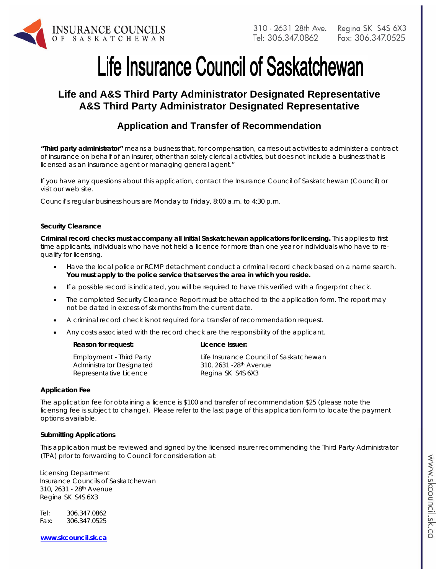

# Life Insurance Council of Saskatchewan

# **Life and A&S Third Party Administrator Designated Representative A&S Third Party Administrator Designated Representative**

# **Application and Transfer of Recommendation**

*"Third party administrator" means a business that, for compensation, carries out activities to administer a contract of insurance on behalf of an insurer, other than solely clerical activities, but does not include a business that is licensed as an insurance agent or managing general agent."*

If you have any questions about this application, contact the Insurance Council of Saskatchewan (Council) or visit our web site.

Council's regular business hours are Monday to Friday, 8:00 a.m. to 4:30 p.m.

#### **Security Clearance**

**Criminal record checks must accompany all initial Saskatchewan applications for licensing.** This applies to first time applicants, individuals who have not held a licence for more than one year or individuals who have to requalify for licensing.

- Have the local police or RCMP detachment conduct a criminal record check based on a name search. **You must apply to the police service that serves the area in which you reside.**
- If a possible record is indicated, you will be required to have this verified with a fingerprint check.
- The completed Security Clearance Report must be attached to the application form. The report may not be dated in excess of six months from the current date.
- A criminal record check is not required for a transfer of recommendation request.
- Any costs associated with the record check are the responsibility of the applicant.

#### **Reason for request: Licence Issuer:**

| <b>Employment - Third Party</b> |
|---------------------------------|
| <b>Administrator Designated</b> |
| Representative Licence          |

Life Insurance Council of Saskatchewan 310, 2631 -28th Avenue Regina SK S4S 6X3

#### **Application Fee**

The application fee for obtaining a licence is \$100 and transfer of recommendation \$25 (please note the licensing fee is subject to change). Please refer to the last page of this application form to locate the payment options available.

#### **Submitting Applications**

This application must be reviewed and signed by the licensed insurer recommending the Third Party Administrator (TPA) prior to forwarding to Council for consideration at:

Licensing Department Insurance Councils of Saskatchewan 310, 2631 - 28th Avenue Regina SK S4S 6X3

Tel: 306.347.0862 Fax: 306.347.0525

**www.skcouncil.sk.ca**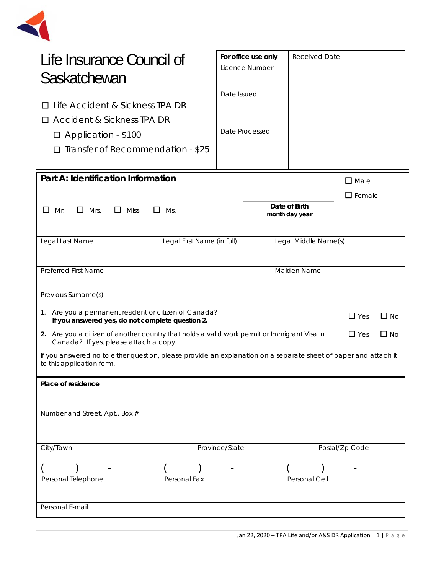

| Life Insurance Council of                                                                                                                                       | For office use only | <b>Received Date</b>            |                 |  |
|-----------------------------------------------------------------------------------------------------------------------------------------------------------------|---------------------|---------------------------------|-----------------|--|
| Saskatchewan                                                                                                                                                    | Licence Number      |                                 |                 |  |
|                                                                                                                                                                 |                     |                                 |                 |  |
| Life Accident & Sickness TPA DR<br>ப                                                                                                                            | Date Issued         |                                 |                 |  |
| □ Accident & Sickness TPA DR                                                                                                                                    |                     |                                 |                 |  |
|                                                                                                                                                                 | Date Processed      |                                 |                 |  |
| $\Box$ Application - \$100                                                                                                                                      |                     |                                 |                 |  |
| Transfer of Recommendation - \$25<br>ப                                                                                                                          |                     |                                 |                 |  |
|                                                                                                                                                                 |                     |                                 |                 |  |
| Part A: Identification Information                                                                                                                              |                     |                                 | $\square$ Male  |  |
|                                                                                                                                                                 |                     |                                 | $\Box$ Female   |  |
| $\Box$ Mrs.<br>$\Box$ Miss<br>$\Box$<br>Mr.<br>Ms.                                                                                                              |                     | Date of Birth<br>month day year |                 |  |
|                                                                                                                                                                 |                     |                                 |                 |  |
| Legal Last Name<br>Legal First Name (in full)                                                                                                                   |                     | Legal Middle Name(s)            |                 |  |
|                                                                                                                                                                 |                     |                                 |                 |  |
| <b>Preferred First Name</b>                                                                                                                                     |                     | Maiden Name                     |                 |  |
|                                                                                                                                                                 |                     |                                 |                 |  |
| Previous Surname(s)                                                                                                                                             |                     |                                 |                 |  |
| 1. Are you a permanent resident or citizen of Canada?<br>$\Box$ Yes<br>$\Box$ No<br>If you answered yes, do not complete question 2.                            |                     |                                 |                 |  |
| 2. Are you a citizen of another country that holds a valid work permit or Immigrant Visa in<br>$\Box$ Yes<br>$\Box$ No<br>Canada? If yes, please attach a copy. |                     |                                 |                 |  |
| If you answered no to either question, please provide an explanation on a separate sheet of paper and attach it                                                 |                     |                                 |                 |  |
| to this application form.                                                                                                                                       |                     |                                 |                 |  |
| Place of residence                                                                                                                                              |                     |                                 |                 |  |
|                                                                                                                                                                 |                     |                                 |                 |  |
| Number and Street, Apt., Box #                                                                                                                                  |                     |                                 |                 |  |
|                                                                                                                                                                 |                     |                                 |                 |  |
|                                                                                                                                                                 |                     |                                 |                 |  |
| City/Town                                                                                                                                                       | Province/State      |                                 | Postal/Zip Code |  |
|                                                                                                                                                                 |                     |                                 |                 |  |
| Personal Telephone<br>Personal Fax                                                                                                                              |                     | Personal Cell                   |                 |  |
|                                                                                                                                                                 |                     |                                 |                 |  |
| Personal E-mail                                                                                                                                                 |                     |                                 |                 |  |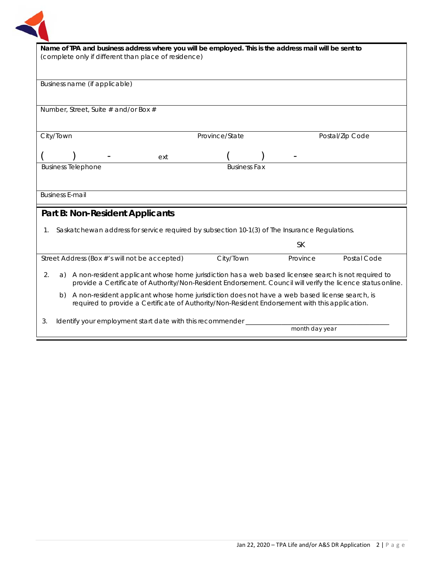

| Name of TPA and business address where you will be employed. This is the address mail will be sent to           |                 |  |  |  |  |
|-----------------------------------------------------------------------------------------------------------------|-----------------|--|--|--|--|
| (complete only if different than place of residence)                                                            |                 |  |  |  |  |
|                                                                                                                 |                 |  |  |  |  |
|                                                                                                                 |                 |  |  |  |  |
| Business name (if applicable)                                                                                   |                 |  |  |  |  |
|                                                                                                                 |                 |  |  |  |  |
|                                                                                                                 |                 |  |  |  |  |
| Number, Street, Suite $#$ and/or Box $#$                                                                        |                 |  |  |  |  |
|                                                                                                                 |                 |  |  |  |  |
| City/Town<br>Province/State                                                                                     | Postal/Zip Code |  |  |  |  |
|                                                                                                                 |                 |  |  |  |  |
| ext                                                                                                             |                 |  |  |  |  |
| <b>Business Telephone</b><br><b>Business Fax</b>                                                                |                 |  |  |  |  |
|                                                                                                                 |                 |  |  |  |  |
|                                                                                                                 |                 |  |  |  |  |
| <b>Business E-mail</b>                                                                                          |                 |  |  |  |  |
|                                                                                                                 |                 |  |  |  |  |
| Part B: Non-Resident Applicants                                                                                 |                 |  |  |  |  |
|                                                                                                                 |                 |  |  |  |  |
| 1. Saskatchewan address for service required by subsection 10-1(3) of The Insurance Regulations.                |                 |  |  |  |  |
| <b>SK</b>                                                                                                       |                 |  |  |  |  |
|                                                                                                                 |                 |  |  |  |  |
| City/Town<br>Province<br>Street Address (Box #'s will not be accepted)                                          | Postal Code     |  |  |  |  |
| A non-resident applicant whose home jurisdiction has a web based licensee search is not required to<br>2.<br>a) |                 |  |  |  |  |
| provide a Certificate of Authority/Non-Resident Endorsement. Council will verify the licence status online.     |                 |  |  |  |  |
| A non-resident applicant whose home jurisdiction does not have a web based license search, is<br>b)             |                 |  |  |  |  |
| required to provide a Certificate of Authority/Non-Resident Endorsement with this application.                  |                 |  |  |  |  |
|                                                                                                                 |                 |  |  |  |  |
| Identify your employment start date with this recommender<br>3.                                                 |                 |  |  |  |  |
|                                                                                                                 | month day year  |  |  |  |  |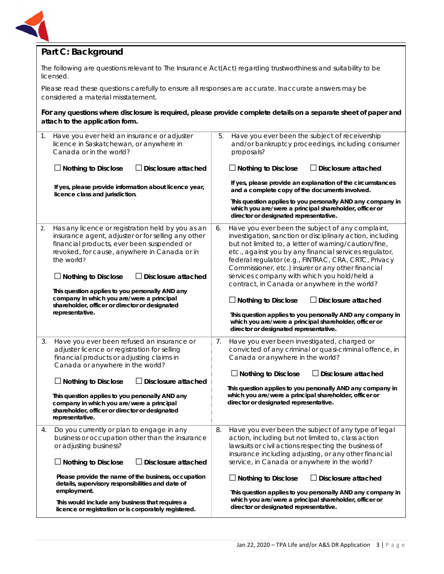

# **Part C: Background**

The following are questions relevant to *The Insurance Act*(Act) regarding trustworthiness and suitability to be licensed.

Please read these questions carefully to ensure all responses are accurate. Inaccurate answers may be considered a material misstatement.

**For any questions where disclosure is required, please provide complete details on a separate sheet of paper and attach to the application form.**

| 1. | Have you ever held an insurance or adjuster<br>licence in Saskatchewan, or anywhere in<br>Canada or in the world?<br>$\Box$ Nothing to Disclose<br>Disclosure attached<br>If yes, please provide information about licence year,<br>licence class and jurisdiction.                                                                                                                                                                           | 5. | Have you ever been the subject of receivership<br>and/or bankruptcy proceedings, including consumer<br>proposals?<br>$\Box$ Nothing to Disclose<br><b>Disclosure attached</b><br>If yes, please provide an explanation of the circumstances<br>and a complete copy of the documents involved.<br>This question applies to you personally AND any company in<br>which you are/were a principal shareholder, officer or<br>director or designated representative.                                                                                                                                                                                                              |
|----|-----------------------------------------------------------------------------------------------------------------------------------------------------------------------------------------------------------------------------------------------------------------------------------------------------------------------------------------------------------------------------------------------------------------------------------------------|----|------------------------------------------------------------------------------------------------------------------------------------------------------------------------------------------------------------------------------------------------------------------------------------------------------------------------------------------------------------------------------------------------------------------------------------------------------------------------------------------------------------------------------------------------------------------------------------------------------------------------------------------------------------------------------|
| 2. | Has any licence or registration held by you as an<br>insurance agent, adjuster or for selling any other<br>financial products, ever been suspended or<br>revoked, for cause, anywhere in Canada or in<br>the world?<br>$\Box$ Nothing to Disclose<br>Disclosure attached<br>This question applies to you personally AND any<br>company in which you are/were a principal<br>shareholder, officer or director or designated<br>representative. | 6. | Have you ever been the subject of any complaint,<br>investigation, sanction or disciplinary action, including<br>but not limited to, a letter of warning/caution/fine,<br>etc., against you by any financial services regulator,<br>federal regulator (e.g., FINTRAC, CRA, CRTC, Privacy<br>Commissioner, etc.) insurer or any other financial<br>services company with which you hold/held a<br>contract, in Canada or anywhere in the world?<br>$\Box$ Nothing to Disclose<br>$\Box$ Disclosure attached<br>This question applies to you personally AND any company in<br>which you are/were a principal shareholder, officer or<br>director or designated representative. |
| 3. | Have you ever been refused an insurance or<br>adjuster licence or registration for selling<br>financial products or adjusting claims in<br>Canada or anywhere in the world?<br>$\Box$ Nothing to Disclose<br><b>Disclosure attached</b><br>This question applies to you personally AND any<br>company in which you are/were a principal<br>shareholder, officer or director or designated<br>representative.                                  | 7. | Have you ever been investigated, charged or<br>convicted of any criminal or quasi-criminal offence, in<br>Canada or anywhere in the world?<br>$\Box$ Nothing to Disclose<br>$\Box$ Disclosure attached<br>This question applies to you personally AND any company in<br>which you are/were a principal shareholder, officer or<br>director or designated representative.                                                                                                                                                                                                                                                                                                     |
| 4. | Do you currently or plan to engage in any<br>business or occupation other than the insurance<br>or adjusting business?<br>$\Box$ Nothing to Disclose<br>Disclosure attached<br>Please provide the name of the business, occupation<br>details, supervisory responsibilities and date of<br>employment.<br>This would include any business that requires a<br>licence or registration or is corporately registered.                            | 8. | Have you ever been the subject of any type of legal<br>action, including but not limited to, class action<br>lawsuits or civil actions respecting the business of<br>insurance including adjusting, or any other financial<br>service, in Canada or anywhere in the world?<br>$\Box$ Nothing to Disclose<br>$\Box$ Disclosure attached<br>This question applies to you personally AND any company in<br>which you are/were a principal shareholder, officer or<br>director or designated representative.                                                                                                                                                                     |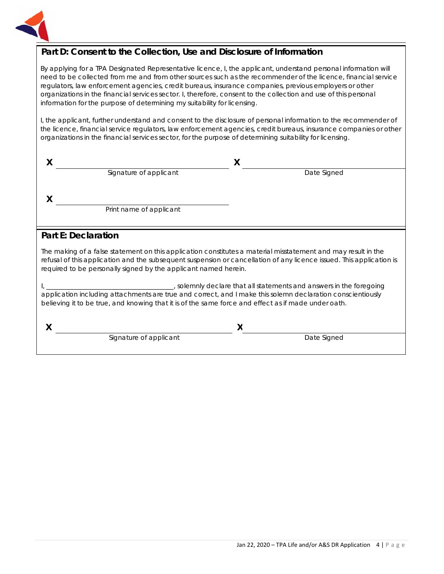

# **Part D: Consent to the Collection, Use and Disclosure of Information**

By applying for a TPA Designated Representative licence, I, the applicant, understand personal information will need to be collected from me and from other sources such as the recommender of the licence, financial service regulators, law enforcement agencies, credit bureaus, insurance companies, previous employers or other organizations in the financial services sector. I, therefore, consent to the collection and use of this personal information for the purpose of determining my suitability for licensing.

I, the applicant, further understand and consent to the disclosure of personal information to the recommender of the licence, financial service regulators, law enforcement agencies, credit bureaus, insurance companies or other organizations in the financial services sector, for the purpose of determining suitability for licensing.

| Signature of applicant  | Date Signed |
|-------------------------|-------------|
|                         |             |
|                         |             |
| Print name of applicant |             |
|                         |             |

## **Part E: Declaration**

The making of a false statement on this application constitutes a material misstatement and may result in the refusal of this application and the subsequent suspension or cancellation of any licence issued. This application is required to be personally signed by the applicant named herein.

I, \_\_\_\_\_\_\_\_\_\_\_\_\_\_\_\_\_\_\_\_\_\_\_\_\_\_\_\_\_\_\_\_\_\_\_\_\_\_\_, solemnly declare that all statements and answers in the foregoing application including attachments are true and correct, and I make this solemn declaration conscientiously believing it to be true, and knowing that it is of the same force and effect as if made under oath.

**X X** Signature of applicant and the Signature of applicant and the Contract of the Signature of applicant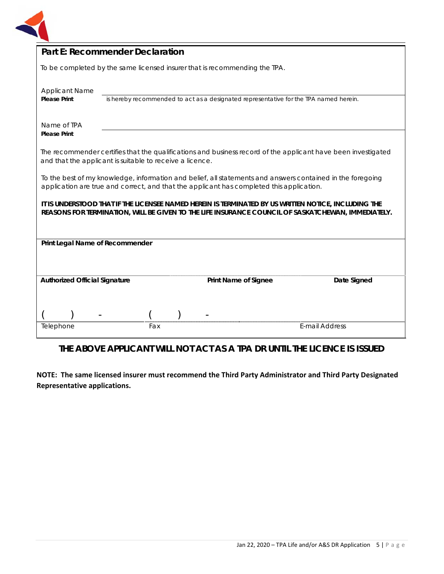

| <b>Part E: Recommender Declaration</b>                                                                                                                                                                     |                                                                                       |  |                                                                            |                       |
|------------------------------------------------------------------------------------------------------------------------------------------------------------------------------------------------------------|---------------------------------------------------------------------------------------|--|----------------------------------------------------------------------------|-----------------------|
|                                                                                                                                                                                                            |                                                                                       |  | To be completed by the same licensed insurer that is recommending the TPA. |                       |
| <b>Applicant Name</b><br><b>Please Print</b>                                                                                                                                                               | is hereby recommended to act as a designated representative for the TPA named herein. |  |                                                                            |                       |
| Name of TPA<br><b>Please Print</b>                                                                                                                                                                         |                                                                                       |  |                                                                            |                       |
| The recommender certifies that the qualifications and business record of the applicant have been investigated<br>and that the applicant is suitable to receive a licence.                                  |                                                                                       |  |                                                                            |                       |
| To the best of my knowledge, information and belief, all statements and answers contained in the foregoing<br>application are true and correct, and that the applicant has completed this application.     |                                                                                       |  |                                                                            |                       |
| IT IS UNDERSTOOD THAT IF THE LICENSEE NAMED HEREIN IS TERMINATED BY US WRITTEN NOTICE, INCLUDING THE<br>REASONS FOR TERMINATION, WILL BE GIVEN TO THE LIFE INSURANCE COUNCIL OF SASKATCHEWAN, IMMEDIATELY. |                                                                                       |  |                                                                            |                       |
| Print Legal Name of Recommender                                                                                                                                                                            |                                                                                       |  |                                                                            |                       |
|                                                                                                                                                                                                            |                                                                                       |  |                                                                            |                       |
| <b>Authorized Official Signature</b>                                                                                                                                                                       |                                                                                       |  | <b>Print Name of Signee</b>                                                | Date Signed           |
|                                                                                                                                                                                                            |                                                                                       |  |                                                                            |                       |
|                                                                                                                                                                                                            |                                                                                       |  |                                                                            |                       |
| Telephone                                                                                                                                                                                                  | Fax                                                                                   |  |                                                                            | <b>E-mail Address</b> |

# **THE ABOVE APPLICANT WILL NOT ACT AS A TPA DR UNTIL THE LICENCE IS ISSUED**

**NOTE: The same licensed insurer must recommend the Third Party Administrator and Third Party Designated Representative applications.**